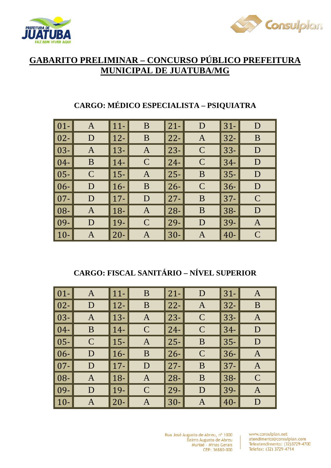



# **GABARITO PRELIMINAR – CONCURSO PÚBLICO PREFEITURA MUNICIPAL DE JUATUBA/MG**

| $\boxed{01}$ | $\mathbf{A}$ | $\vert$ 11- | B             | $ 21-$      | D            | $31 -$ | D            |
|--------------|--------------|-------------|---------------|-------------|--------------|--------|--------------|
| $\vert 02 -$ | D            | $\vert$ 12- | B             | $\vert$ 22- | A            | $32 -$ | B            |
| $\vert$ 03-  | $\mathbf{A}$ | $\vert$ 13- | A             | $\vert$ 23- | $\mathsf{C}$ | $ 33-$ | D            |
| $\vert 04-$  | B            | $\vert$ 14- | $\mathbf C$   | $\vert$ 24- | $\mathbf C$  | $34-$  | D            |
| $\vert$ 05-  | $\mathbf C$  | $\vert$ 15- | A             | $\vert$ 25- | B            | $35 -$ | D            |
| $\vert 06 -$ | D            | $\vert$ 16- | B             | $\vert$ 26- | $\mathbf C$  | $36 -$ | D            |
| $\vert$ 07-  | D            | $\vert$ 17- | D             | $\vert$ 27- | B            | $ 37-$ | $\mathsf{C}$ |
| $\vert 08 -$ | $\mathbf{A}$ | $\vert$ 18- | A             | $\vert$ 28- | B            | $ 38-$ | D            |
| $\vert$ 09-  | D            | $\vert$ 19- | $\mathcal{C}$ | $\vert$ 29- | D            | $39-$  | A            |
| $\vert$ 10-  | A            | $ 20-$      | A             | $\vert$ 30- | A            | $ 40-$ | $\mathsf{C}$ |

# **CARGO: MÉDICO ESPECIALISTA – PSIQUIATRA**

## **CARGO: FISCAL SANITÁRIO – NÍVEL SUPERIOR**

| $\boxed{01}$ | $\mathbf{A}$ | $\vert$ 11- | B             | $21 -$ | D             | $31-$  | A              |
|--------------|--------------|-------------|---------------|--------|---------------|--------|----------------|
| $\boxed{02}$ | D            | $\vert$ 12- | B             | $22 -$ | A             | $ 32-$ | B              |
| $\vert$ 03-  | $\mathbf{A}$ | $\vert$ 13- | $\mathbf{A}$  | $ 23-$ | $\mathcal{C}$ | $ 33-$ | $\mathbf{A}$   |
| $\vert 04-$  | B            | $\vert$ 14- | $\mathbf C$   | $24 -$ | $\mathbf C$   | $34-$  | D              |
| $\vert 05 -$ | $\mathbf C$  | $\vert$ 15- | $\mathbf{A}$  | $ 25-$ | B             | $ 35-$ | D              |
| $\vert 06 -$ | D            | $ 16-$      | B             | $ 26-$ | $\mathsf{C}$  | $36 -$ | A              |
| $\vert$ 07-  | D            | $\vert$ 17- | D             | $27 -$ | B             | $ 37-$ | $\overline{A}$ |
| $\vert$ 08-  | A            | $\vert$ 18- | $\mathbf{A}$  | $ 28-$ | B             | $38-$  | $\mathcal{C}$  |
| $\vert$ 09-  | D            | $ 19-$      | $\mathcal{C}$ | $ 29-$ | D             | $ 39-$ | A              |
| $\vert$ 10-  | A            | $\vert$ 20- | A             | $30 -$ | Α             | $40 -$ | D              |

Rua José Augusto de Abreu, nº 1000 Bairro Augusto de Abreu Muriaé - Minas Gerais CEP: 36880-000

 $\mathbf{r}$ 

www.consulplan.net atendimento@consulplan.com Teleatendimento: (32)3729-4700 Telefax: (32) 3729-4714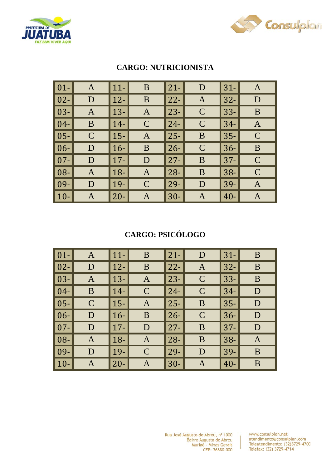



| $\overline{\hspace{.08cm}}\hspace{.08cm}01}$ - | A             | $ 11-$      | B            | $21 -$ | D             | $31-$  | A             |
|------------------------------------------------|---------------|-------------|--------------|--------|---------------|--------|---------------|
| $\vert$ 02-                                    | D             | $ 12-$      | B            | $22 -$ | A             | $32 -$ | D             |
| $\vert$ 03-                                    | A             | $ 13-$      | $\mathbf{A}$ | $ 23-$ | $\mathcal{C}$ | $33 -$ | B             |
| $\mid$ 04-                                     | B             | $14-$       | $\mathsf{C}$ | $24 -$ | $\mathbf C$   | $34-$  | A             |
| $\vert 05 -$                                   | $\mathcal{C}$ | $ 15-$      | A            | $ 25-$ | B             | $35 -$ | $\mathcal{C}$ |
| $\vert 06 -$                                   | D             | $16-$       | B            | $ 26-$ | $\mathcal{C}$ | $36 -$ | B             |
| $\overline{107}$                               | D             | $\vert$ 17- | D            | $27 -$ | B             | $37 -$ | $\mathcal{C}$ |
| $\mid$ 08-                                     | A             | $18-$       | A            | $28 -$ | B             | $38 -$ | $\mathcal{C}$ |
| $\mid$ 09-                                     | D             | $ 19-$      | $\mathbf C$  | $ 29-$ | D             | $39-$  | A             |
| $\vert$ 10-                                    | A             | $20 -$      | A            | $30-$  | A             | $40 -$ | A             |

## **CARGO: NUTRICIONISTA**

## **CARGO: PSICÓLOGO**

| $\vert$ 01-  | A            | $\vert$ 11- | B            | $21 -$ | D             | $31-$  | B |
|--------------|--------------|-------------|--------------|--------|---------------|--------|---|
| $\vert$ 02-  | D            | $\vert$ 12- | B            | $22 -$ | A             | $32 -$ | B |
| $\vert$ 03-  | A            | $\vert$ 13- | $\mathbf{A}$ | $23 -$ | $\mathcal{C}$ | $33 -$ | B |
| $\vert$ 04-  | B            | $\vert$ 14- | $\mathbf C$  | $24 -$ | $\mathbf C$   | $34-$  | D |
| $\vert$ 05-  | $\mathsf{C}$ | $\vert$ 15- | $\mathbf{A}$ | $ 25-$ | B             | $35 -$ | D |
| $\vert 06 -$ | D            | $16-$       | B            | $26 -$ | $\mathcal{C}$ | $36 -$ | D |
| $\vert$ 07-  | ${\rm D}$    | $\vert$ 17- | D            | $27 -$ | B             | $37 -$ | D |
| $\vert$ 08-  | A            | $\vert$ 18- | $\mathbf{A}$ | $ 28-$ | B             | $38 -$ | A |
| $\vert$ 09-  | D            | $\vert$ 19- | $\mathbf C$  | $29-$  | D             | $39 -$ | B |
| $\vert$ 10-  | A            | $\vert$ 20- | A            | $30-$  | A             | $40 -$ | B |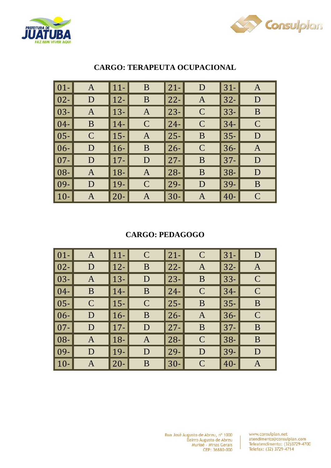



| $\vert$ 01-         | A            | $11-$               | B             | $ 21-$ | D            | $31-$  | $\mathbf{A}$  |
|---------------------|--------------|---------------------|---------------|--------|--------------|--------|---------------|
| $\vert$ 02-         | D            | $12 -$              | B             | $ 22-$ | A            | $32 -$ | D             |
| $\vert$ 03- $\vert$ | A            | $\vert$ 13- $\vert$ | $\mathbf{A}$  | $ 23-$ | $\mathsf{C}$ | $33 -$ | B             |
| $\vert 04-$         | B            | $14-$               | $\mathcal{C}$ | $ 24-$ | $\mathbf C$  | $34-$  | $\mathbf C$   |
| $\vert$ 05- $\vert$ | $\mathsf{C}$ | $15-$               | $\mathbf{A}$  | $ 25-$ | B            | $35 -$ | D             |
| $\vert 06 -$        | D            | $16-$               | B             | $ 26-$ | $\mathbf C$  | $36-$  | A             |
| $\vert$ 07-         | D            | $17 -$              | D             | $ 27-$ | B            | $37 -$ | D             |
| $\vert$ 08-         | A            | $18 -$              | $\mathbf{A}$  | $ 28-$ | B            | $38 -$ | D             |
| $\vert$ 09-         | D            | 19-                 | $\mathbf C$   | $ 29-$ | D            | $39-$  | B             |
| $\vert$ 10-         | A            | $20 -$              | A             | $30 -$ | Α            | $40 -$ | $\mathcal{C}$ |

## **CARGO: TERAPEUTA OCUPACIONAL**

#### **CARGO: PEDAGOGO**

| $\vert$ 01-  | A            | $\vert$ 11- | $\mathcal{C}$ | $\vert$ 21- | $\mathsf{C}$ | $31-$  | D            |
|--------------|--------------|-------------|---------------|-------------|--------------|--------|--------------|
| $\vert 02 -$ | D            | $ 12-$      | B             | $ 22-$      | A            | $32 -$ | A            |
| $\vert$ 03-  | $\mathbf{A}$ | $\vert$ 13- | D             | $\vert$ 23- | B            | $33 -$ | $\mathbf C$  |
| $\vert$ 04-  | B            | $14-$       | B             | $ 24-$      | $\mathbf C$  | $34-$  | $\mathcal C$ |
| $\vert$ 05-  | $\mathbf C$  | $\vert$ 15- | $\mathcal{C}$ | $ 25-$      | B            | $35 -$ | B            |
| $\vert 06 -$ | D            | $ 16-$      | B             | $\vert$ 26- | $\mathbf{A}$ | $36 -$ | $\mathbf C$  |
| $\vert$ 07-  | D            | $\vert$ 17- | D             | $\vert$ 27- | B            | $37 -$ | B            |
| $\vert$ 08-  | A            | $\vert$ 18- | $\mathbf{A}$  | $ 28-$      | $\mathsf{C}$ | $38 -$ | B            |
| $\vert$ 09-  | D            | $\vert$ 19- | D             | $\vert$ 29- | D            | $ 39-$ | D            |
| $\vert$ 10-  | A            | $ 20-$      | B             | $ 30-$      | $\mathbf C$  | $40 -$ | $\mathbf{A}$ |

 $\overline{1}$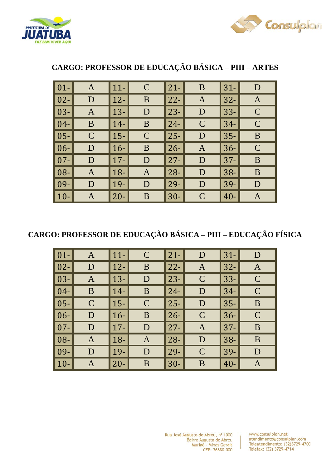



| $\boxed{01}$ | A             | $11-$  | $\mathcal{C}$ | $21 -$ | B            | $31 -$ | D             |
|--------------|---------------|--------|---------------|--------|--------------|--------|---------------|
| $\boxed{02}$ | D             | $12-$  | B             | $22 -$ | A            | $32 -$ | $\mathbf{A}$  |
| $\vert 03 -$ | A             | $13 -$ | D             | $23 -$ | D            | $33 -$ | $\mathbf C$   |
| $\vert 04-$  | B             | $14-$  | B             | $24 -$ | $\mathbf C$  | $34-$  | $\mathcal{C}$ |
| $\vert 05 -$ | $\mathcal{C}$ | $15-$  | $\mathcal{C}$ | $25 -$ | D            | $35 -$ | B             |
| $\vert 06 -$ | D             | $16-$  | B             | $26 -$ | $\mathbf{A}$ | $36 -$ | $\mathbf C$   |
| $\vert$ 07-  | D             | $17 -$ | D             | $27 -$ | D            | $37 -$ | B             |
| $\vert 08 -$ | A             | $18 -$ | A             | $28 -$ | D            | $38 -$ | B             |
| $\vert$ 09-  | D             | $19-$  | D             | $29-$  | D            | 39-    | D             |
| $ 10-$       | A             | $20 -$ | B             | $30-$  | $\mathbf C$  | $40 -$ | Α             |

# **CARGO: PROFESSOR DE EDUCAÇÃO BÁSICA – PIII – ARTES**

# **CARGO: PROFESSOR DE EDUCAÇÃO BÁSICA – PIII – EDUCAÇÃO FÍSICA**

| $01-$  | A            | $\vert$ 11-  | $\mathsf{C}$  | $21 -$ | D             | $31 -$ | D             |
|--------|--------------|--------------|---------------|--------|---------------|--------|---------------|
| $02 -$ | D            | $ 12-$       | B             | $22 -$ | A             | $32 -$ | $\mathbf{A}$  |
| $03 -$ | $\mathbf{A}$ | $\vert$ 13-  | D             | $23 -$ | $\mathcal{C}$ | $33 -$ | $\mathbf C$   |
| $04 -$ | B            | $14-$        | B             | $24 -$ | D             | $34 -$ | $\mathcal{C}$ |
| $05 -$ | $\mathsf{C}$ | $ 15-$       | $\mathcal{C}$ | $25 -$ | D             | $35 -$ | B             |
| $06 -$ | D            | $ 16-$       | B             | $26 -$ | $\mathbf C$   | $36 -$ | $\mathbf C$   |
| $07 -$ | D            | $\vert$ 17-  | D             | $27 -$ | A             | $37 -$ | B             |
| 08-    | $\mathbf{A}$ | $\vert 18 -$ | $\mathbf{A}$  | $28 -$ | D             | $38 -$ | B             |
| 09-    | D            | $\vert$ 19-  | D             | $29 -$ | $\mathbf C$   | 39-    | D             |
| $10-$  | A            | $ 20-$       | B             | $30-$  | B             | $40 -$ | Α             |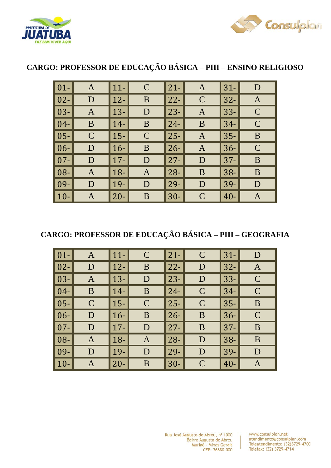



# **CARGO: PROFESSOR DE EDUCAÇÃO BÁSICA – PIII – ENSINO RELIGIOSO**

| $\vert$ 01-  | A            | $11-$  | $\mathbf C$ | $ 21-$ | $\mathbf{A}$ | $31-$  | D             |
|--------------|--------------|--------|-------------|--------|--------------|--------|---------------|
| $\vert 02 -$ | D            | $12 -$ | B           | $ 22-$ | $\mathbf C$  | $32 -$ | $\mathbf{A}$  |
| $\vert$ 03-  | A            | $13 -$ | D           | $ 23-$ | A            | $33 -$ | $\mathcal{C}$ |
| $\mid$ 04-   | B            | $14-$  | B           | $24 -$ | B            | $34 -$ | $\mathsf{C}$  |
| $ 05-$       | $\mathsf{C}$ | $15 -$ | $\mathbf C$ | $ 25-$ | $\mathbf{A}$ | $35 -$ | B             |
| $\vert 06 -$ | D            | $16-$  | B           | $ 26-$ | $\mathbf{A}$ | $36 -$ | $\mathcal{C}$ |
| $\vert 07 -$ | D            | $17 -$ | D           | $ 27-$ | D            | $37 -$ | B             |
| $\mid$ 08-   | A            | $18 -$ | A           | $ 28-$ | B            | $38 -$ | B             |
| $\mid$ 09-   | D            | 19-    | D           | $ 29-$ | D            | 39-    | D             |
| $\vert$ 10-  | A            | $20 -$ | B           | 30-    | $\mathbf C$  | $40 -$ | Α             |

## **CARGO: PROFESSOR DE EDUCAÇÃO BÁSICA – PIII – GEOGRAFIA**

| $\boxed{01}$ | A            | $11-$  | $\mathsf{C}$  | $21 -$ | $\mathcal{C}$ | $31 -$ | D             |
|--------------|--------------|--------|---------------|--------|---------------|--------|---------------|
| $\boxed{02}$ | D            | $12-$  | B             | $22 -$ | D             | $32 -$ | $\mathbf{A}$  |
| $\vert 03 -$ | $\mathbf{A}$ | $13 -$ | D             | $23 -$ | D             | $33 -$ | $\mathbf C$   |
| $\vert 04-$  | B            | $14-$  | B             | $24 -$ | $\mathcal{C}$ | $34-$  | $\mathcal{C}$ |
| $\vert 05 -$ | $\mathsf{C}$ | $15 -$ | $\mathcal{C}$ | $25 -$ | $\mathcal{C}$ | $35 -$ | B             |
| $\vert 06 -$ | D            | $16-$  | B             | $26 -$ | B             | $36 -$ | $\mathbf C$   |
| $\vert 07 -$ | D            | $17 -$ | D             | $27 -$ | B             | $37 -$ | B             |
| $\vert 08 -$ | $\mathbf{A}$ | $18-$  | A             | $28 -$ | D             | $38 -$ | B             |
| $\vert$ 09-  | D            | 19-    | D             | $29-$  | D             | 39-    | D             |
| $\vert$ 10-  | A            | $20 -$ | B             | $30-$  | $\mathbf C$   | $40 -$ | Α             |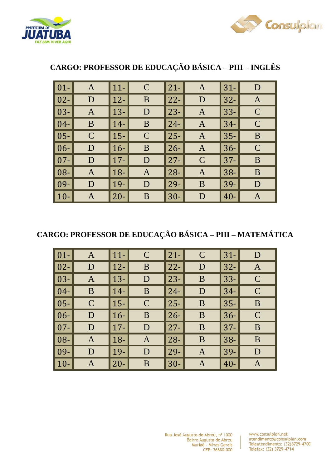



| $\vert$ 01-        | A             | $11-$  | $\mathcal{C}$ | $21 -$ | A            | $31 -$ | D             |
|--------------------|---------------|--------|---------------|--------|--------------|--------|---------------|
| $\overline{102}$ - | D             | $12 -$ | B             | $22 -$ | D            | $32 -$ | A             |
| $\mid$ 03-         | A             | $13 -$ | D             | $23 -$ | $\mathbf{A}$ | $33 -$ | $\mathcal C$  |
| $ 04-$             | B             | $14-$  | B             | $24 -$ | A            | $34-$  | $\mathcal{C}$ |
| 105-               | $\mathcal{C}$ | $15 -$ | $\mathcal{C}$ | $25 -$ | A            | $35 -$ | B             |
| $ 06-$             | D             | $16-$  | B             | $26 -$ | $\mathbf{A}$ | $36 -$ | $\mathbf C$   |
| $\overline{07}$    | D             | $17 -$ | D             | $27 -$ | $\mathbf C$  | $37 -$ | B             |
| 108-               | A             | $18 -$ | A             | $28 -$ | A            | $38 -$ | B             |
| 09-                | D             | $19-$  | D             | $29 -$ | B            | $39 -$ | D             |
| $10-$              | A             | $20 -$ | B             | $30-$  | D            | $40 -$ | Α             |

# **CARGO: PROFESSOR DE EDUCAÇÃO BÁSICA – PIII – INGLÊS**

## **CARGO: PROFESSOR DE EDUCAÇÃO BÁSICA – PIII – MATEMÁTICA**

| $\vert$ 01-  | A            | $\vert$ 11- | $\mathbf C$   | $21 -$ | $\mathbf C$    | $31 -$ | D            |
|--------------|--------------|-------------|---------------|--------|----------------|--------|--------------|
| $\vert 02 -$ | D            | $ 12-$      | B             | $22 -$ | D              | $32 -$ | $\mathbf{A}$ |
| $\vert$ 03-  | $\mathbf{A}$ | $\vert$ 13- | D             | $23 -$ | B              | $33 -$ | $\mathbf C$  |
| $\vert$ 04-  | B            | $14-$       | B             | $24 -$ | D              | $34-$  | $\mathcal C$ |
| $\vert$ 05-  | $\mathsf{C}$ | $\vert$ 15- | $\mathcal{C}$ | $25 -$ | B              | $35 -$ | B            |
| $\vert 06 -$ | D            | $ 16-$      | B             | $26 -$ | B              | $36 -$ | $\mathbf C$  |
| $\vert$ 07-  | $\mathbf D$  | $\vert$ 17- | D             | $27 -$ | B              | $37 -$ | B            |
| $\vert$ 08-  | A            | $\vert$ 18- | A             | $28 -$ | B              | $38 -$ | B            |
| $\vert$ 09-  | D            | $\vert$ 19- | D             | $29-$  | $\overline{A}$ | 39-    | D            |
| $\vert$ 10-  | A            | $\vert$ 20- | B             | $30-$  | A              | $40 -$ | Α            |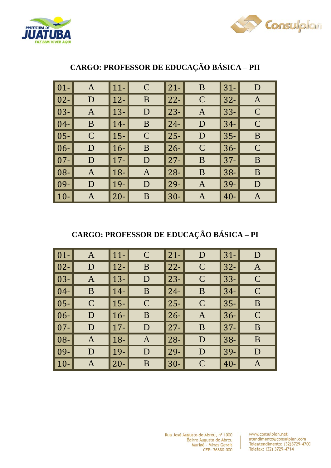



| $ 01-$       | A            | $11-$  | $\mathcal{C}$ | $ 21-$ | B             | $31-$  | D             |
|--------------|--------------|--------|---------------|--------|---------------|--------|---------------|
| $\vert 02 -$ | D            | $12 -$ | B             | $ 22-$ | $\mathbf C$   | $32 -$ | A             |
| $\vert 03 -$ | $\mathbf{A}$ | $13 -$ | D             | $ 23-$ | $\mathbf{A}$  | $33 -$ | $\mathcal{C}$ |
| $\vert 04 -$ | B            | $14-$  | B             | $ 24-$ | D             | $34-$  | $\mathcal C$  |
| $\vert 05 -$ | $\mathbf C$  | $15 -$ | $\mathsf{C}$  | $25 -$ | D             | $35 -$ | B             |
| $\mid$ 06-   | D            | $16-$  | B             | $ 26-$ | $\mathcal{C}$ | $36 -$ | $\mathcal{C}$ |
| $\vert 07 -$ | D            | $17 -$ | D             | $ 27-$ | B             | $37 -$ | B             |
| $ 08-$       | A            | $18-$  | $\mathbf{A}$  | $ 28-$ | B             | $38 -$ | B             |
| $\mid$ 09-   | D            | 19-    | D             | $ 29-$ | A             | 39-    | D             |
| $10 -$       | A            | $20 -$ | B             | $30-$  | A             | $40 -$ | Α             |

# **CARGO: PROFESSOR DE EDUCAÇÃO BÁSICA – PII**

# **CARGO: PROFESSOR DE EDUCAÇÃO BÁSICA – PI**

| $\boxed{01}$ | A            | $\vert$ 11- | $\mathcal{C}$ | $21 -$      | D             | $31-$  | D             |
|--------------|--------------|-------------|---------------|-------------|---------------|--------|---------------|
| $\vert 02 -$ | D            | $\vert$ 12- | B             | $22 -$      | $\mathbf C$   | $ 32-$ | $\mathbf{A}$  |
| $\vert$ 03-  | A            | $\vert$ 13- | D             | $23 -$      | $\mathsf C$   | $33 -$ | $\mathcal{C}$ |
| $\vert 04-$  | B            | $\vert$ 14- | B             | $24 -$      | B             | $34-$  | $\mathsf{C}$  |
| $\vert 05 -$ | $\mathsf{C}$ | $\vert$ 15- | $\mathcal{C}$ | $ 25-$      | $\mathcal{C}$ | $ 35-$ | B             |
| $\vert 06 -$ | D            | $16-$       | B             | $ 26-$      | A             | $36 -$ | $\mathcal{C}$ |
| $\vert 07 -$ | D            | $\vert$ 17- | D             | $27 -$      | B             | $ 37-$ | B             |
| $\vert 08 -$ | A            | $\vert$ 18- | $\mathbf{A}$  | $ 28-$      | D             | $38 -$ | B             |
| $\vert$ 09-  | D            | $ 19-$      | D             | $\vert$ 29- | D             | $ 39-$ | D             |
| $ 10-$       | Α            | $\vert$ 20- | B             | $30-$       | $\mathsf{C}$  | $40 -$ | A             |

Ï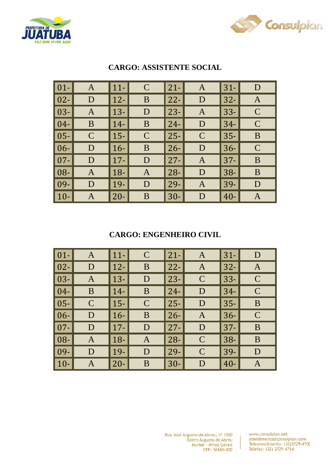



| $\vert$ 01-                  | A             | $ 11-$      | $\mathsf{C}$  | $21 -$ | A             | $31-$  | D            |
|------------------------------|---------------|-------------|---------------|--------|---------------|--------|--------------|
| $\vert$ 02- $\vert$          | D             | $12 -$      | B             | $22 -$ | D             | $32 -$ | $\mathbf{A}$ |
| $\vert$ 03- $\vert$          | A             | $13 -$      | D             | $ 23-$ | $\mathbf{A}$  | $33 -$ | $\mathbf C$  |
| $\overline{\phantom{1}04}$ - | B             | $14-$       | B             | $24 -$ | D             | $34-$  | $\mathsf{C}$ |
| $\vert$ 05- $\vert$          | $\mathcal{C}$ | $ 15-$      | $\mathcal{C}$ | $ 25-$ | $\mathcal{C}$ | $35 -$ | B            |
| $\vert 06 - \vert$           | D             | $16-$       | B             | $ 26-$ | D             | $36 -$ | $\mathbf C$  |
| $\vert$ 07-                  | D             | $\vert$ 17- | D             | $ 27-$ | A             | $37 -$ | B            |
| $\vert$ 08- $\vert$          | A             | $18-$       | A             | $ 28-$ | D             | $38 -$ | B            |
| $\vert$ 09- $\vert$          | D             | 19-         | D             | $ 29-$ | $\mathbf{A}$  | 39-    | D            |
| $\vert$ 10-                  | A             | $20 -$      | B             | $30-$  | D             | $40 -$ | Α            |

## **CARGO: ASSISTENTE SOCIAL**

#### **CARGO: ENGENHEIRO CIVIL**

| $\vert$ 01- | A           | $\vert$ 11- | $\mathcal{C}$ | $21 -$ | A            | $31-$  | D              |
|-------------|-------------|-------------|---------------|--------|--------------|--------|----------------|
| $\vert$ 02- | D           | $\vert$ 12- | B             | $22 -$ | $\mathbf{A}$ | $32 -$ | $\overline{A}$ |
| $\vert$ 03- | A           | $13 -$      | D             | $23 -$ | $\mathbf C$  | $33 -$ | $\mathbf C$    |
| $\vert$ 04- | B           | $\vert$ 14- | B             | $24 -$ | D            | $34-$  | $\mathcal C$   |
| $\vert$ 05- | $\mathbf C$ | $\vert$ 15- | $\mathcal{C}$ | $ 25-$ | D            | $35 -$ | B              |
| $\vert$ 06- | D           | $16-$       | B             | $26 -$ | $\mathbf{A}$ | $36 -$ | $\mathbf C$    |
| $\vert$ 07- | $\mathbf D$ | $\vert$ 17- | D             | $27 -$ | D            | $37 -$ | B              |
| $\vert$ 08- | A           | $\vert$ 18- | $\mathbf{A}$  | $28 -$ | $\mathsf{C}$ | $38 -$ | B              |
| $\vert$ 09- | D           | $\vert$ 19- | D             | $ 29-$ | $\mathbf C$  | 39-    | D              |
| $\vert$ 10- | A           | $\vert$ 20- | B             | $30-$  | D            | $40 -$ | Α              |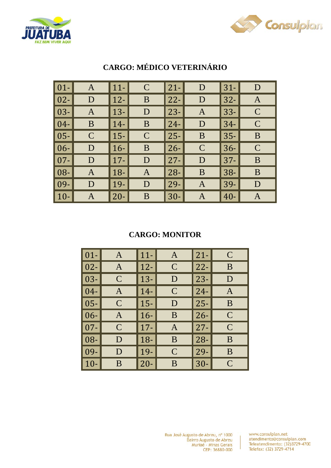



| $\vert$ 01-         | A            | $ 11-$ | $\mathbf C$  | $21 -$ | D           | $31 -$ | D              |
|---------------------|--------------|--------|--------------|--------|-------------|--------|----------------|
| $\vert 02 -$        | D            | $ 12-$ | B            | $22 -$ | D           | $32 -$ | $\overline{A}$ |
| $\vert$ 03-         | A            | $13 -$ | D            | $23 -$ | A           | $33 -$ | $\mathcal{C}$  |
| $\mid$ 04-          | B            | $14-$  | B            | $24 -$ | D           | $34-$  | $\mathcal{C}$  |
| $\vert$ 05- $\vert$ | $\mathsf{C}$ | $ 15-$ | $\mathbf C$  | $25 -$ | B           | $35 -$ | B              |
| $\vert 06 -$        | D            | $16-$  | B            | $26 -$ | $\mathbf C$ | $36-$  | $\mathcal{C}$  |
| $\vert 07 -$        | D            | $17 -$ | D            | $27 -$ | D           | $37 -$ | B              |
| $\mid$ 08-          | A            | $18-$  | $\mathbf{A}$ | $28 -$ | B           | $38 -$ | B              |
| $\mid$ 09-          | D            | $19-$  | D            | $29-$  | A           | 39-    | D              |
| $\vert$ 10-         | A            | $20 -$ | B            | $30-$  | A           | $40 -$ | A              |

# **CARGO: MÉDICO VETERINÁRIO**

#### **CARGO: MONITOR**

| $01 -$ | A             | $11-$  | A            | $21 -$ | $\mathcal{C}_{0}^{(n)}$ |
|--------|---------------|--------|--------------|--------|-------------------------|
| $02 -$ | A             | $12 -$ | $\mathbf C$  | $22 -$ | B                       |
| $03 -$ | $\mathcal{C}$ | $13 -$ | D            | $23 -$ | D                       |
| $04 -$ | A             | $14-$  | $\mathsf{C}$ | $24-$  | A                       |
| $05 -$ | $\mathcal{C}$ | $15 -$ | D            | $25 -$ | B                       |
| $06 -$ | $\mathsf{A}$  | $16-$  | B            | $26 -$ | $\overline{C}$          |
| $07 -$ | $\mathsf{C}$  | $17 -$ | A            | $27 -$ | $\mathcal{C}$           |
| 08-    | D             | $18 -$ | B            | $28 -$ | B                       |
| $09 -$ | D             | $19-$  | $\mathsf{C}$ | $29 -$ | B                       |
| $10-$  | B             | $20 -$ | B            | $30-$  | $\mathcal{C}$           |

Rua José Augusto de Abreu, nº 1000 Bairro Augusto de Abreu<br>Muriaé - Minas Gerais CEP: 36880-000

www.consulplan.net atendimento@consulplan.com<br>Teleatendimento: (32)3729-4700 Telefax: (32) 3729-4714

 $\overline{1}$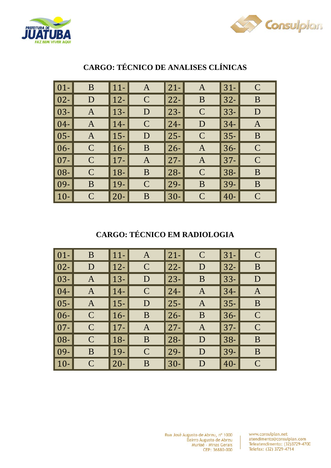



| $\vert$ 01- $\vert$ | B            | $11 -$ | $\mathbf{A}$  | $ 21-$ | $\mathbf{A}$  | $31-$  | $\mathsf{C}$  |
|---------------------|--------------|--------|---------------|--------|---------------|--------|---------------|
| $\vert 02 -$        | D            | $12 -$ | $\mathcal{C}$ | $ 22-$ | B             | $32 -$ | B             |
| $\vert 03 -$        | A            | $13 -$ | D             | $ 23-$ | $\mathbf C$   | $33 -$ | D             |
| $\vert 04 -$        | A            | $14-$  | $\mathsf{C}$  | $ 24-$ | D             | $34 -$ | A             |
| $\vert 05 - \vert$  | A            | $15 -$ | D             | 25-    | $\mathcal{C}$ | $35 -$ | B             |
| $ 06-$              | $\mathsf{C}$ | $16-$  | B             | $ 26-$ | $\mathbf{A}$  | $36-$  | $\mathcal{C}$ |
| $\vert 07 -$        | $\mathsf{C}$ | $17 -$ | A             | $ 27-$ | A             | $37 -$ | $\mathsf{C}$  |
| $ 08-$              | $\mathsf{C}$ | $18 -$ | B             | $ 28-$ | $\mathcal{C}$ | $38 -$ | B             |
| $\mid$ 09-          | B            | 19-    | $\mathbf C$   | $ 29-$ | B             | 39-    | B             |
| $10 -$              | $\mathsf{C}$ | $20 -$ | B             | $30-$  | $\mathbf C$   | $40 -$ | $\mathcal{C}$ |

## **CARGO: TÉCNICO DE ANALISES CLÍNICAS**

# **CARGO: TÉCNICO EM RADIOLOGIA**

| $\boxed{01}$ | B            | $\vert$ 11- | A              | $21 -$      | $\mathsf{C}$ | $31-$      | $\mathcal C$  |
|--------------|--------------|-------------|----------------|-------------|--------------|------------|---------------|
| $\vert$ 02-  | D            | $\vert$ 12- | $\mathcal{C}$  | $22 -$      | D            | $32 -$     | B             |
| $\vert 03 -$ | $\mathbf{A}$ | $\vert$ 13- | D              | $23-$       | B            | $33 -$     | D             |
| $\vert 04-$  | A            | $\vert$ 14- | $\mathbf C$    | $24 -$      | A            | $34-$      | A             |
| $\vert 05 -$ | $\mathbf{A}$ | $\vert$ 15- | D              | $ 25-$      | A            | $ 35-$     | B             |
| $\vert 06 -$ | $\mathsf{C}$ | $ 16-$      | B              | $\vert$ 26- | B            | $36 -$     | $\mathcal C$  |
| $\vert$ 07-  | $\mathsf{C}$ | $\vert$ 17- | $\overline{A}$ | $ 27-$      | A            | <b>37-</b> | $\mathcal{C}$ |
| $\vert 08 -$ | $\mathcal C$ | $\vert$ 18- | B              | $ 28-$      | D            | $38-$      | B             |
| $\vert$ 09-  | B            | $ 19-$      | $\mathcal{C}$  | $ 29-$      | D            | $ 39-$     | B             |
| $\vert$ 10-  | $\mathsf{C}$ | $\vert$ 20- | B              | $30-$       | D            | $40 -$     | $\mathcal{C}$ |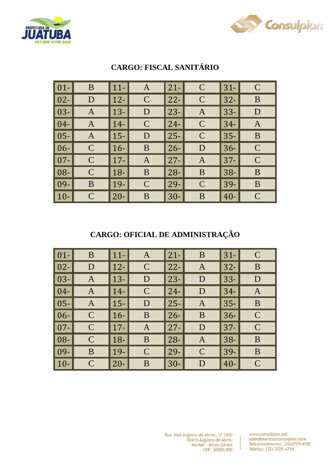



| $\overline{\hspace{.08cm}}\hspace{.08cm}01}$ - | B             | $ 11-$ | A            | $21 -$ | $\mathbf C$   | $31 -$ | $\mathcal{C}$ |
|------------------------------------------------|---------------|--------|--------------|--------|---------------|--------|---------------|
| $\vert 02 -$                                   | D             | $12 -$ | $\mathbf C$  | $22 -$ | $\mathbf C$   | $32 -$ | B             |
| $\vert$ 03-                                    | A             | $13 -$ | D            | $23 -$ | $\mathbf{A}$  | $33 -$ | D             |
| $\mid$ 04-                                     | A             | $14-$  | $\mathsf{C}$ | $24 -$ | $\mathsf{C}$  | $34-$  | A             |
| $\vert 05 -$                                   | A             | $ 15-$ | D            | $25 -$ | $\mathcal{C}$ | $35 -$ | B             |
| $ 06-$                                         | $\mathsf{C}$  | $16-$  | B            | $26 -$ | D             | $36-$  | $\mathcal{C}$ |
| $\overline{107}$                               | $\mathsf{C}$  | $17 -$ | $\mathbf{A}$ | $27 -$ | A             | $37 -$ | $\mathsf{C}$  |
| $\mid$ 08-                                     | $\mathcal{C}$ | $18-$  | B            | $28 -$ | B             | $38 -$ | B             |
| $\mid$ 09-                                     | B             | $ 19-$ | $\mathbf C$  | $29-$  | $\mathbf C$   | 39-    | B             |
| $\vert$ 10-                                    | $\mathsf{C}$  | $20 -$ | B            | $30-$  | B             | $40 -$ | $\mathcal{C}$ |

# **CARGO: FISCAL SANITÁRIO**

## **CARGO: OFICIAL DE ADMINISTRAÇÃO**

| $\boxed{01}$ | B            | $ 11-$      | A             | $21 -$ | B             | $31-$  | $\mathcal C$   |
|--------------|--------------|-------------|---------------|--------|---------------|--------|----------------|
| $\boxed{02}$ | D            | $12-$       | $\mathcal{C}$ | $22 -$ | A             | $32 -$ | B              |
| $\vert 03 -$ | A            | $ 13-$      | D             | $23 -$ | D             | $33 -$ | D              |
| $\vert 04-$  | A            | $14-$       | $\mathsf{C}$  | $24 -$ | D             | $34-$  | $\overline{A}$ |
| $\vert$ 05-  | A            | $ 15-$      | D             | $25 -$ | A             | $35 -$ | B              |
| $\vert 06 -$ | $\mathbf C$  | $16-$       | B             | $26 -$ | B             | $36 -$ | $\mathcal{C}$  |
| $\vert$ 07-  | $\mathbf C$  | $\vert$ 17- | $\mathbf{A}$  | $27 -$ | D             | $37 -$ | $\mathcal{C}$  |
| $\vert 08 -$ | $\mathsf{C}$ | $18 -$      | B             | $28 -$ | A             | $38 -$ | B              |
| $\vert$ 09-  | B            | $ 19-$      | $\mathbf C$   | $29-$  | $\mathcal{C}$ | $39-$  | B              |
| $\vert$ 10-  | $\mathsf{C}$ | $ 20-$      | B             | $30-$  | D             | $40 -$ | $\mathcal{C}$  |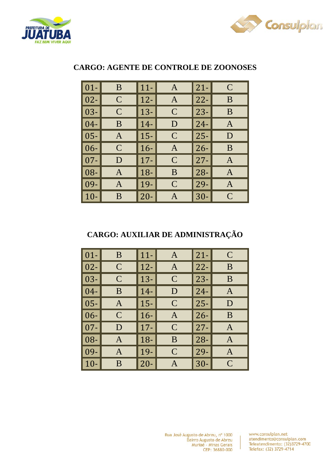



| $01 -$ | B              | $11-$  | A             | $21 -$ | $\mathcal{C}$ |
|--------|----------------|--------|---------------|--------|---------------|
| $02 -$ | $\mathcal{C}$  | $12 -$ | A             | $22 -$ | B             |
| $03 -$ | $\overline{C}$ | $13 -$ | $\mathsf{C}$  | $23 -$ | B             |
| $04 -$ | B              | $14-$  | D             | $24-$  | A             |
| $05 -$ | A              | $15 -$ | $\mathsf{C}$  | $25 -$ | D             |
| $06 -$ | $\overline{C}$ | $16-$  | $\mathbf{A}$  | $26 -$ | B             |
| $07 -$ | D              | $17 -$ | $\mathcal{C}$ | $27 -$ | A             |
| $08 -$ | A              | $18 -$ | B             | $28 -$ | A             |
| 09-    | A              | 19-    | $\mathsf{C}$  | $29-$  | A             |
| $10-$  | B              | $20 -$ | A             | $30-$  | $\mathcal{C}$ |

## **CARGO: AGENTE DE CONTROLE DE ZOONOSES**

## **CARGO: AUXILIAR DE ADMINISTRAÇÃO**

| $01-$  | B              | $11-$  | A             | $21 -$ | $\mathcal{C}$ |
|--------|----------------|--------|---------------|--------|---------------|
| $02 -$ | $\mathsf{C}$   | $12 -$ | A             | $22 -$ | B             |
| $03 -$ | $\mathcal{C}$  | $13 -$ | $\mathsf{C}$  | $23 -$ | B             |
| $04 -$ | B              | $14-$  | D             | $24-$  | A             |
| $05 -$ | A              | $15 -$ | $\mathsf{C}$  | $25 -$ | D             |
| $06 -$ | $\overline{C}$ | $16-$  | A             | $26 -$ | B             |
| $07 -$ | D              | $17 -$ | $\mathcal{C}$ | $27 -$ | A             |
| $08 -$ | A              | $18 -$ | B             | $28 -$ | A             |
| 09-    | A              | 19-    | $\mathsf{C}$  | $29-$  | A             |
| $10-$  | B              | $20 -$ | А             | $30-$  | $\mathcal{C}$ |

Rua José Augusto de Abreu, nº 1000 Bairro Augusto de Abreu<br>Muriaé - Minas Gerais CEP: 36880-000

www.consulplan.net atendimento@consulplan.com Teleatendimento: (32)3729-4700 Telefax: (32) 3729-4714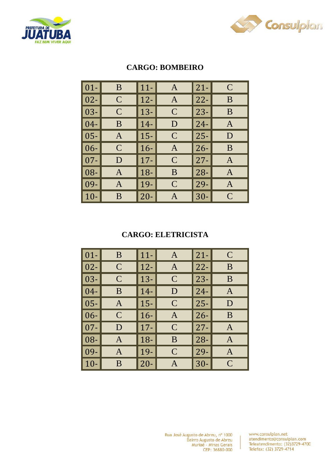



| $01 -$ | B             | $11-$  | A             | $21 -$ | $\mathcal{C}$ |
|--------|---------------|--------|---------------|--------|---------------|
| $02 -$ | $\mathcal{C}$ | $12 -$ | A             | $22 -$ | B             |
| $03 -$ | $\mathcal{C}$ | $13 -$ | $\mathbf C$   | $23 -$ | B             |
| $04 -$ | B             | $14-$  | D             | $24-$  | A             |
| $05 -$ | A             | $15 -$ | $\mathbf C$   | $25 -$ | D             |
| $06 -$ | $\mathcal{C}$ | $16-$  | A             | $26 -$ | B             |
| $07 -$ | D             | $17 -$ | $\mathcal{C}$ | $27 -$ | A             |
| 08-    | A             | $18-$  | B             | $28 -$ | A             |
| 09-    | A             | $19 -$ | $\mathsf{C}$  | $29-$  | A             |
| $10 -$ | B             | $20 -$ | A             | $30 -$ | $\mathcal{C}$ |

### **CARGO: BOMBEIRO**

#### **CARGO: ELETRICISTA**

| $01-$  | B             | $11-$  | A              | $21 -$ | $\mathbf C$  |
|--------|---------------|--------|----------------|--------|--------------|
| $02 -$ | $\mathbf C$   | $12 -$ | A              | $22 -$ | B            |
| $03 -$ | $\mathcal{C}$ | $13 -$ | $\mathsf{C}$   | $23 -$ | B            |
| $04 -$ | B             | $14-$  | D              | $24-$  | A            |
| $05 -$ | A             | $15 -$ | $\mathbf C$    | $25 -$ | D            |
| $06 -$ | $\mathsf{C}$  | $16-$  | A              | $26 -$ | B            |
| $07 -$ | D             | $17 -$ | $\mathsf{C}$   | $27 -$ | A            |
| 08-    | A             | $18 -$ | B              | $28 -$ | A            |
| 09-    | A             | 19-    | $\overline{C}$ | $29-$  | A            |
| $10-$  | B             | $20 -$ |                | $30-$  | $\mathsf{C}$ |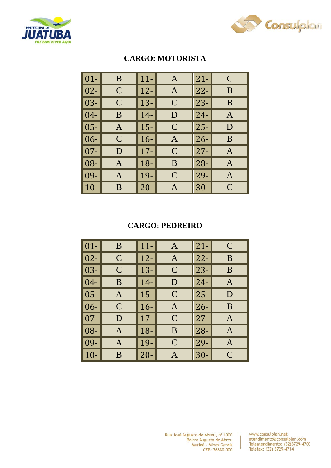



### **CARGO: MOTORISTA**

| $01 -$ | B            | $11 -$ | A              | $21 -$ | $\mathcal{C}$ |
|--------|--------------|--------|----------------|--------|---------------|
| $02 -$ | $\mathsf{C}$ | $12 -$ | A              | $22 -$ | B             |
| $03 -$ | $\mathsf{C}$ | $13 -$ | $\mathbf C$    | $23 -$ | B             |
| $04 -$ | B            | $14-$  | D              | $24-$  | A             |
| $05 -$ | A            | $15 -$ | $\mathbf C$    | $25 -$ | D             |
| $06 -$ | $\mathsf{C}$ | $16-$  | A              | $26 -$ | B             |
| $07 -$ | D            | $17 -$ | $\mathsf{C}$   | $27 -$ | A             |
| $08 -$ | A            | $18 -$ | B              | $28 -$ | A             |
| 09-    | A            | $19 -$ | $\overline{C}$ | $29-$  | A             |
| $10-$  | B            | $20 -$ |                | $30-$  | $\mathcal{C}$ |

### **CARGO: PEDREIRO**

| $ 01-$       | B              | $11 -$ | A              | $21 -$ | $\mathcal{C}$ |
|--------------|----------------|--------|----------------|--------|---------------|
| $ 02-$       | $\mathcal{C}$  | $12 -$ | A              | $22 -$ | B             |
| $\vert 03 -$ | $\overline{C}$ | $13 -$ | $\mathsf{C}$   | $23 -$ | B             |
| $04 -$       | B              | 14-    | D              | $24 -$ | A             |
| $ 05-$       | A              | $15 -$ | $\mathsf{C}$   | $25 -$ | D             |
| $ 06-$       | $\overline{C}$ | $16-$  | $\mathbf{A}$   | $26 -$ | B             |
| $07 -$       | D              | $17 -$ | $\mathbf C$    | $27 -$ | A             |
| $ 08-$       | A              | 18-    | B              | $28 -$ | A             |
| $09-$        | A              | $19 -$ | $\overline{C}$ | $29 -$ | A             |
| $10-$        | B              | $20 -$ | A              | $30-$  | $\mathcal C$  |

Rua José Augusto de Abreu, nº 1000 Bairro Augusto de Abreu<br>Muriaé - Minas Gerais CEP: 36880-000

www.consulplan.net<br>atendimento@consulplan.com<br>Teleatendimento: (32)3729-4700 Telefax: (32) 3729-4714

Ï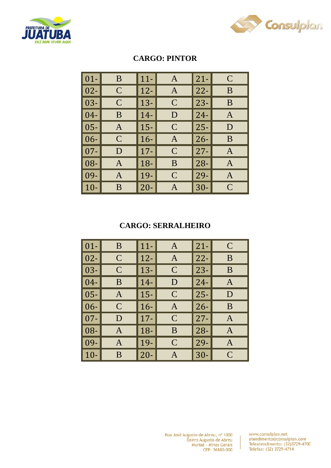



| $ 01-$          | B             | $11 -$ | A             | $21 -$ | $\mathcal{C}$ |
|-----------------|---------------|--------|---------------|--------|---------------|
| $ 02-$          | $\mathsf{C}$  | $12 -$ | A             | $22 -$ | B             |
| 03-             | $\mathcal{C}$ | $13 -$ | $\mathbf C$   | $23 -$ | B             |
| $04-$           | B             | $14-$  | D             | $24-$  | A             |
| $ 05-$          | A             | $15 -$ | $\mathbf C$   | $25 -$ | D             |
| $\vert 06 -$    | $\mathsf{C}$  | $16-$  | A             | $26 -$ | B             |
| $07 -$          | D             | $17 -$ | $\mathcal{C}$ | $27 -$ | A             |
| $\overline{08}$ | A             | $18 -$ | B             | $28 -$ | A             |
| $ 09-$          | A             | $19-$  | $\mathsf{C}$  | $29 -$ | A             |
| $10-$           | B             | $20 -$ | A             | $30-$  | $\mathcal{C}$ |

## **CARGO: PINTOR**

#### **CARGO: SERRALHEIRO**

| $ 01-$       | B              | $11 -$ | A              | $21 -$ | $\mathcal C$ |
|--------------|----------------|--------|----------------|--------|--------------|
| $ 02-$       | C              | $12 -$ | A              | $22 -$ | B            |
| $\vert 03 -$ | $\overline{C}$ | $13 -$ | $\mathsf{C}$   | $23 -$ | B            |
| $04-$        | B              | $14-$  | D              | $24 -$ | A            |
| $\mid$ 05-   | A              | $15 -$ | $\mathsf{C}$   | $25 -$ | D            |
| $06 -$       | $\overline{C}$ | $16 -$ | $\mathbf{A}$   | $26 -$ | B            |
| $07 -$       | D              | $17 -$ | $\mathbf C$    | $27 -$ | A            |
| $ 08-$       | A              | $18 -$ | B              | $28 -$ | A            |
| $09 -$       | A              | $19-$  | $\overline{C}$ | $29 -$ | A            |
| $10-$        | B              | $20 -$ | A              | $30-$  | $\mathcal C$ |

Rua José Augusto de Abreu, nº 1000 Bairro Augusto de Abreu<br>Muriaé - Minas Gerais CEP: 36880-000

www.consulplan.net<br>atendimento@consulplan.com<br>Teleatendimento: (32)3729-4700 Telefax: (32) 3729-4714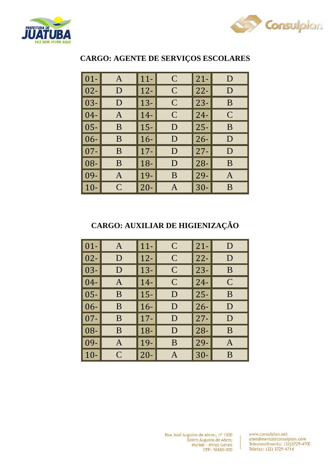



| $01 -$ | A | $11 -$ | $\mathbf C$  | $21 -$ | D            |
|--------|---|--------|--------------|--------|--------------|
| $02 -$ | D | $12 -$ | $\mathbf C$  | $22 -$ | D            |
| $03 -$ | D | $13 -$ | $\mathsf{C}$ | $23 -$ | B            |
| $04 -$ | A | $14-$  | $\mathsf{C}$ | $24 -$ | $\mathsf{C}$ |
| $05 -$ | B | $15 -$ | D            | $25 -$ | B            |
| $06 -$ | B | $16 -$ | D            | $26 -$ | D            |
| $07 -$ | B | $17 -$ | D            | $27 -$ | D            |
| 08-    | B | $18 -$ | D            | $28 -$ | B            |
| 09-    | A | 19-    | B            | $29 -$ | A            |
| $10 -$ | C | $20 -$ | A            | $30-$  | B            |

#### **CARGO: AGENTE DE SERVIÇOS ESCOLARES**

**CARGO: AUXILIAR DE HIGIENIZAÇÃO**

| $ 01-$     | A            | $11 -$ | $\mathbf C$  | $21 -$ | D            |
|------------|--------------|--------|--------------|--------|--------------|
| $ 02-$     | D            | $12 -$ | $\mathsf{C}$ | $22 -$ | D            |
| $03 -$     | D            | $13 -$ | $\mathsf{C}$ | $23 -$ | B            |
| $04 -$     | A            | $14-$  | $\mathsf{C}$ | $24-$  | $\mathcal C$ |
| $\mid$ 05- | B            | $15 -$ | D            | $25 -$ | B            |
| $06 -$     | B            | $16-$  | D            | $26 -$ | D            |
| $07 -$     | B            | $17 -$ | D            | $27 -$ | D            |
| $08 -$     | B            | $18 -$ | D            | $28 -$ | B            |
| 09-        | A            | 19-    | B            | $29 -$ | A            |
| $10-$      | $\mathsf{C}$ | $20 -$ | A            | $30-$  | B            |

Ï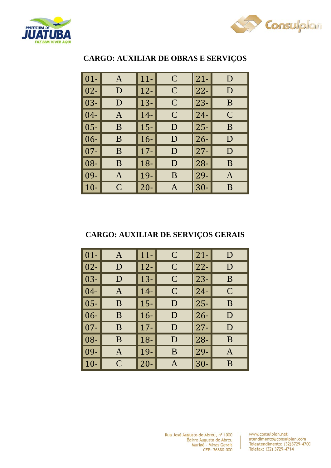



| $01-$  | A             | $11-$  | $\mathbf C$  | $21 -$ | D            |
|--------|---------------|--------|--------------|--------|--------------|
| $02 -$ | D             | $12 -$ | $\mathsf{C}$ | $22 -$ | D            |
| $03 -$ | D             | $13 -$ | $\mathsf{C}$ | $23 -$ | B            |
| $04 -$ | A             | $14-$  | $\mathsf{C}$ | $24 -$ | $\mathsf{C}$ |
| $05 -$ | B             | $15 -$ | D            | $25 -$ | B            |
| $06 -$ | B             | $16-$  | D            | $26 -$ | D            |
| $07 -$ | B             | $17 -$ | D            | $27 -$ | D            |
| $08 -$ | B             | $18 -$ | D            | $28 -$ | B            |
| $09 -$ | A             | $19 -$ | B            | $29-$  | A            |
| $10-$  | $\mathcal{C}$ | $20 -$ |              | $30 -$ | B            |

### **CARGO: AUXILIAR DE OBRAS E SERVIÇOS**

### **CARGO: AUXILIAR DE SERVIÇOS GERAIS**

| $01-$  | A            | $11 -$ | $\mathcal{C}$ | $21 -$ | D            |
|--------|--------------|--------|---------------|--------|--------------|
| $02 -$ | D            | $12 -$ | $\mathbf C$   | $22 -$ | D            |
| $03 -$ | D            | $13 -$ | $\mathbf C$   | $23 -$ | B            |
| $04 -$ | A            | $14-$  | $\mathsf{C}$  | $24-$  | $\mathcal C$ |
| $05 -$ | B            | $15 -$ | D             | $25 -$ | B            |
| $06 -$ | B            | $16-$  | D             | $26 -$ | D            |
| $07 -$ | B            | $17 -$ | D             | $27 -$ | D            |
| 08-    | B            | $18 -$ | D             | $28 -$ | B            |
| 09-    | A            | 19-    | B             | 29-    | A            |
| $10-$  | $\mathsf{C}$ | $20 -$ |               | $30 -$ | B            |

Rua José Augusto de Abreu, nº 1000 Bairro Augusto de Abreu Muriaé - Minas Gerais CEP: 36880-000

www.consulplan.net atendimento@consulplan.com Teleatendimento: (32)3729-4700 Telefax: (32) 3729-4714